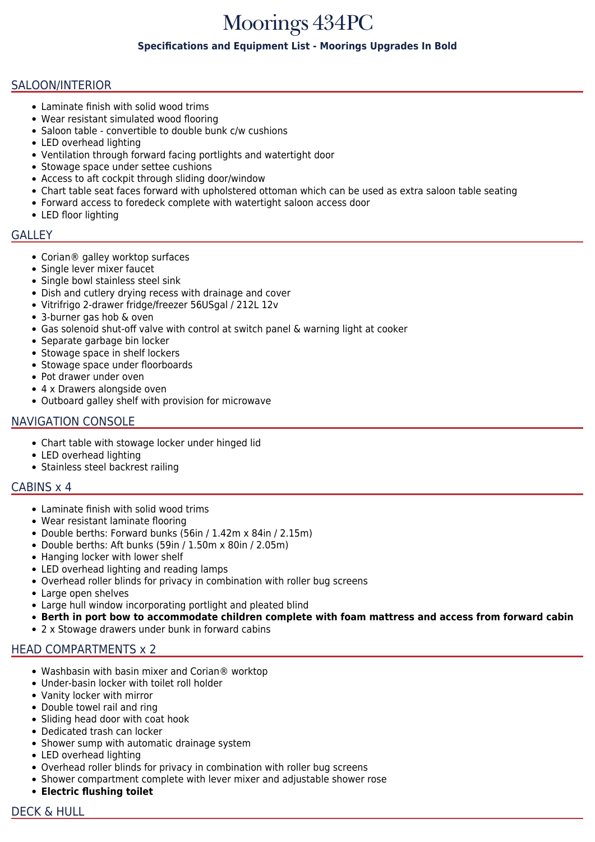# Moorings 434PC

## **Specifications and Equipment List - Moorings Upgrades In Bold**

## SALOON/INTERIOR

- Laminate finish with solid wood trims
- Wear resistant simulated wood flooring
- Saloon table convertible to double bunk c/w cushions
- LED overhead lighting
- Ventilation through forward facing portlights and watertight door
- Stowage space under settee cushions
- Access to aft cockpit through sliding door/window
- Chart table seat faces forward with upholstered ottoman which can be used as extra saloon table seating
- Forward access to foredeck complete with watertight saloon access door
- LED floor lighting

### GALLEY

- Corian® galley worktop surfaces
- Single lever mixer faucet
- Single bowl stainless steel sink
- Dish and cutlery drying recess with drainage and cover
- Vitrifrigo 2-drawer fridge/freezer 56USgal / 212L 12v
- 3-burner gas hob & oven
- Gas solenoid shut-off valve with control at switch panel & warning light at cooker
- Separate garbage bin locker
- Stowage space in shelf lockers
- Stowage space under floorboards
- Pot drawer under oven
- 4 x Drawers alongside oven
- Outboard galley shelf with provision for microwave

## NAVIGATION CONSOLE

- Chart table with stowage locker under hinged lid
- LED overhead lighting
- Stainless steel backrest railing

## CABINS x 4

- Laminate finish with solid wood trims
- Wear resistant laminate flooring
- Double berths: Forward bunks (56in / 1.42m x 84in / 2.15m)
- Double berths: Aft bunks (59in / 1.50m x 80in / 2.05m)
- Hanging locker with lower shelf
- LED overhead lighting and reading lamps
- Overhead roller blinds for privacy in combination with roller bug screens
- Large open shelves
- Large hull window incorporating portlight and pleated blind
- **Berth in port bow to accommodate children complete with foam mattress and access from forward cabin**
- 2 x Stowage drawers under bunk in forward cabins

# HEAD COMPARTMENTS x 2

- Washbasin with basin mixer and Corian® worktop
- Under-basin locker with toilet roll holder
- Vanity locker with mirror
- Double towel rail and ring
- Sliding head door with coat hook
- Dedicated trash can locker
- Shower sump with automatic drainage system
- LED overhead lighting
- Overhead roller blinds for privacy in combination with roller bug screens
- Shower compartment complete with lever mixer and adjustable shower rose
- **Electric flushing toilet**
- DECK & HULL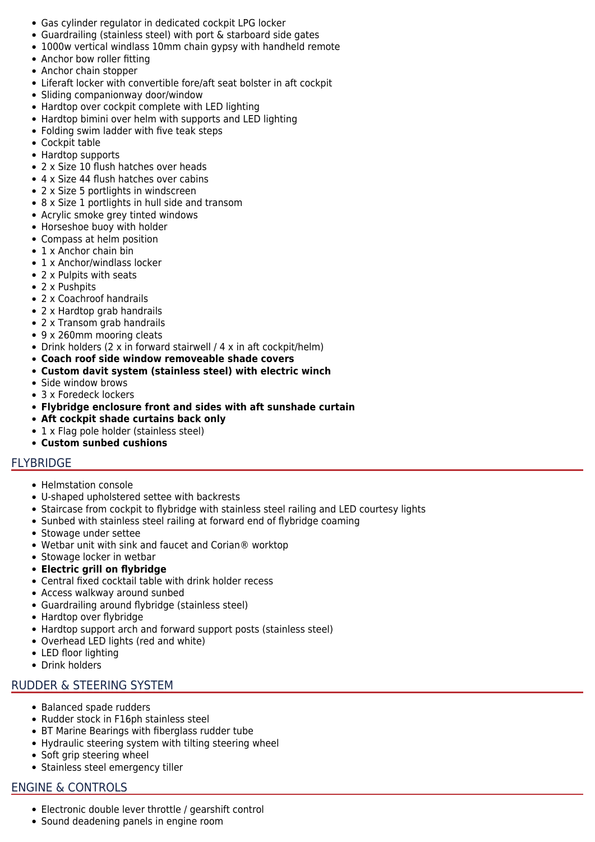- Gas cylinder regulator in dedicated cockpit LPG locker
- Guardrailing (stainless steel) with port & starboard side gates
- 1000w vertical windlass 10mm chain gypsy with handheld remote
- Anchor bow roller fitting
- Anchor chain stopper
- Liferaft locker with convertible fore/aft seat bolster in aft cockpit
- Sliding companionway door/window
- Hardtop over cockpit complete with LED lighting
- Hardtop bimini over helm with supports and LED lighting
- Folding swim ladder with five teak steps
- Cockpit table
- Hardtop supports
- 2 x Size 10 flush hatches over heads
- 4 x Size 44 flush hatches over cabins
- 2 x Size 5 portlights in windscreen
- 8 x Size 1 portlights in hull side and transom
- Acrylic smoke grey tinted windows
- Horseshoe buoy with holder
- Compass at helm position
- 1 x Anchor chain bin
- 1 x Anchor/windlass locker
- 2 x Pulpits with seats
- 2 x Pushpits
- 2 x Coachroof handrails
- 2 x Hardtop grab handrails
- 2 x Transom grab handrails
- 9 x 260mm mooring cleats
- Drink holders (2 x in forward stairwell / 4 x in aft cockpit/helm)
- **Coach roof side window removeable shade covers**
- **Custom davit system (stainless steel) with electric winch**
- Side window brows
- 3 x Foredeck lockers
- **Flybridge enclosure front and sides with aft sunshade curtain**
- **Aft cockpit shade curtains back only**
- 1 x Flag pole holder (stainless steel)
- **Custom sunbed cushions**

# FLYBRIDGE

- Helmstation console
- U-shaped upholstered settee with backrests
- Staircase from cockpit to flybridge with stainless steel railing and LED courtesy lights
- Sunbed with stainless steel railing at forward end of flybridge coaming
- Stowage under settee
- Wetbar unit with sink and faucet and Corian® worktop
- Stowage locker in wetbar
- **Electric grill on flybridge**
- Central fixed cocktail table with drink holder recess
- Access walkway around sunbed
- Guardrailing around flybridge (stainless steel)
- Hardtop over flybridge
- Hardtop support arch and forward support posts (stainless steel)
- Overhead LED lights (red and white)
- LED floor lighting
- Drink holders

## RUDDER & STEERING SYSTEM

- Balanced spade rudders
- Rudder stock in F16ph stainless steel
- BT Marine Bearings with fiberglass rudder tube
- Hydraulic steering system with tilting steering wheel
- Soft grip steering wheel
- Stainless steel emergency tiller

# ENGINE & CONTROLS

- Electronic double lever throttle / gearshift control
- Sound deadening panels in engine room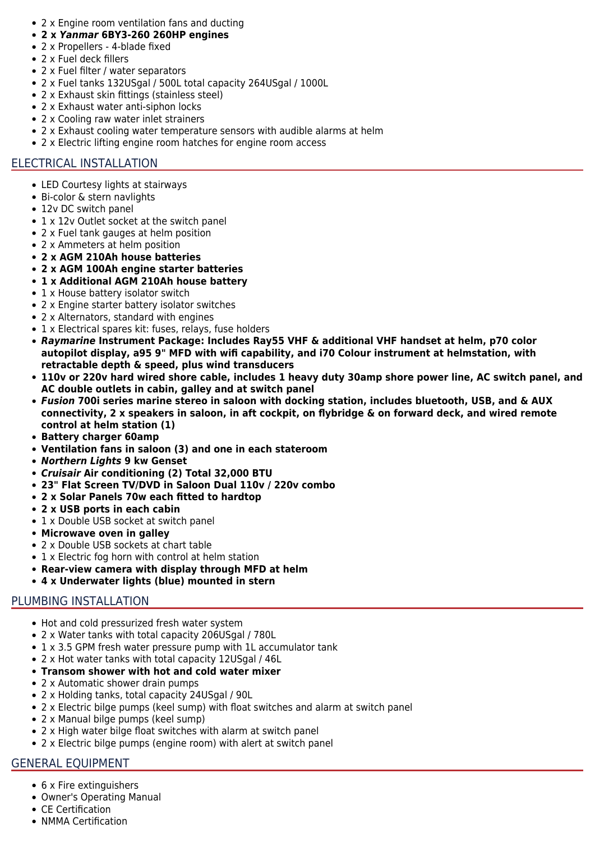- 2 x Engine room ventilation fans and ducting
- **2 x** *Yanmar* **6BY3-260 260HP engines**
- 2 x Propellers 4-blade fixed
- 2 x Fuel deck fillers
- 2 x Fuel filter / water separators
- 2 x Fuel tanks 132USgal / 500L total capacity 264USgal / 1000L
- 2 x Exhaust skin fittings (stainless steel)
- 2 x Exhaust water anti-siphon locks
- 2 x Cooling raw water inlet strainers
- 2 x Exhaust cooling water temperature sensors with audible alarms at helm
- 2 x Electric lifting engine room hatches for engine room access

# ELECTRICAL INSTALLATION

- LED Courtesy lights at stairways
- Bi-color & stern navlights
- 12v DC switch panel
- 1 x 12v Outlet socket at the switch panel
- 2 x Fuel tank gauges at helm position
- 2 x Ammeters at helm position
- **2 x AGM 210Ah house batteries**
- **2 x AGM 100Ah engine starter batteries**
- **1 x Additional AGM 210Ah house battery**
- 1 x House battery isolator switch
- 2 x Engine starter battery isolator switches
- 2 x Alternators, standard with engines
- 1 x Electrical spares kit: fuses, relays, fuse holders
- *Raymarine* **Instrument Package: Includes Ray55 VHF & additional VHF handset at helm, p70 color autopilot display, a95 9" MFD with wifi capability, and i70 Colour instrument at helmstation, with retractable depth & speed, plus wind transducers**
- **110v or 220v hard wired shore cable, includes 1 heavy duty 30amp shore power line, AC switch panel, and AC double outlets in cabin, galley and at switch panel**
- *Fusion* **700i series marine stereo in saloon with docking station, includes bluetooth, USB, and & AUX connectivity, 2 x speakers in saloon, in aft cockpit, on flybridge & on forward deck, and wired remote control at helm station (1)**
- **Battery charger 60amp**
- **Ventilation fans in saloon (3) and one in each stateroom**
- *Northern Lights* **9 kw Genset**
- *Cruisair* **Air conditioning (2) Total 32,000 BTU**
- **23" Flat Screen TV/DVD in Saloon Dual 110v / 220v combo**
- **2 x Solar Panels 70w each fitted to hardtop**
- **2 x USB ports in each cabin**
- 1 x Double USB socket at switch panel
- **Microwave oven in galley**
- 2 x Double USB sockets at chart table
- 1 x Electric fog horn with control at helm station
- **Rear-view camera with display through MFD at helm**
- **4 x Underwater lights (blue) mounted in stern**

# PLUMBING INSTALLATION

- Hot and cold pressurized fresh water system
- 2 x Water tanks with total capacity 206USgal / 780L
- 1 x 3.5 GPM fresh water pressure pump with 1L accumulator tank
- 2 x Hot water tanks with total capacity 12USgal / 46L
- **Transom shower with hot and cold water mixer**
- 2 x Automatic shower drain pumps
- 2 x Holding tanks, total capacity 24USgal / 90L
- 2 x Electric bilge pumps (keel sump) with float switches and alarm at switch panel
- 2 x Manual bilge pumps (keel sump)
- 2 x High water bilge float switches with alarm at switch panel
- 2 x Electric bilge pumps (engine room) with alert at switch panel

# GENERAL EQUIPMENT

- 6 x Fire extinguishers
- Owner's Operating Manual
- CE Certification
- NMMA Certification